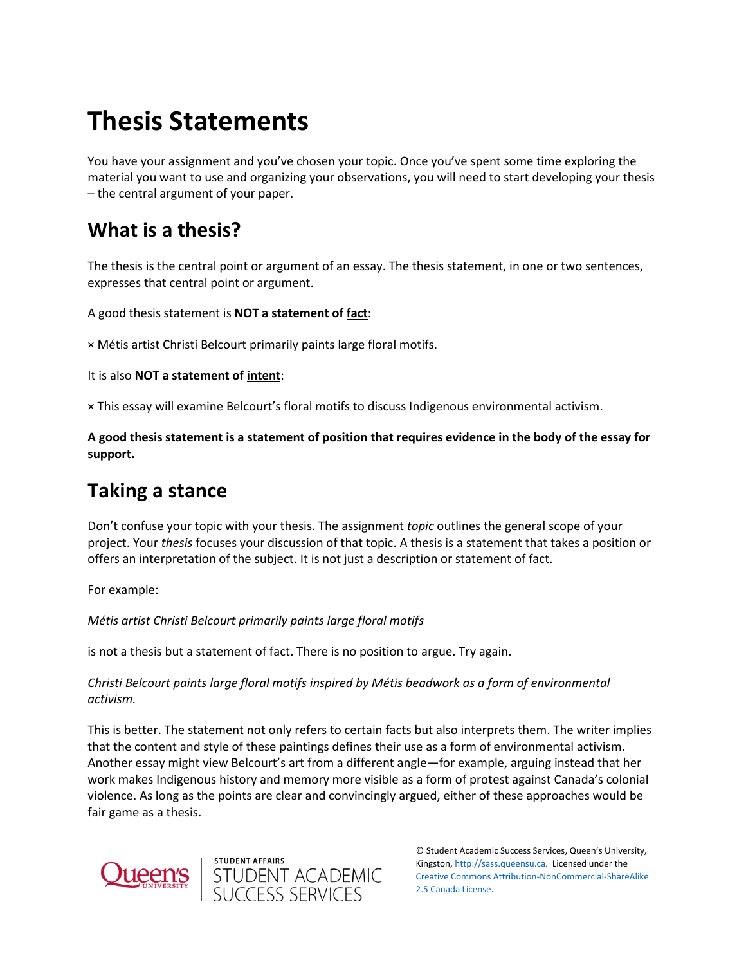# **Thesis Statements**

You have your assignment and you've chosen your topic. Once you've spent some time exploring the material you want to use and organizing your observations, you will need to start developing your thesis – the central argument of your paper.

### **What is a thesis?**

The thesis is the central point or argument of an essay. The thesis statement, in one or two sentences, expresses that central point or argument.

A good thesis statement is **NOT a statement of fact**:

× Métis artist Christi Belcourt primarily paints large floral motifs.

It is also **NOT a statement of intent**:

× This essay will examine Belcourt's floral motifs to discuss Indigenous environmental activism.

**A good thesis statement is a statement of position that requires evidence in the body of the essay for support.**

### **Taking a stance**

Don't confuse your topic with your thesis. The assignment *topic* outlines the general scope of your project. Your *thesis* focuses your discussion of that topic. A thesis is a statement that takes a position or offers an interpretation of the subject. It is not just a description or statement of fact.

For example:

*Métis artist Christi Belcourt primarily paints large floral motifs*

is not a thesis but a statement of fact. There is no position to argue. Try again.

student affairs<br>STUDENT ACADEMIC<br>SUCCESS SERVICES

*Christi Belcourt paints large floral motifs inspired by Métis beadwork as a form of environmental activism.*

This is better. The statement not only refers to certain facts but also interprets them. The writer implies that the content and style of these paintings defines their use as a form of environmental activism. Another essay might view Belcourt's art from a different angle—for example, arguing instead that her work makes Indigenous history and memory more visible as a form of protest against Canada's colonial violence. As long as the points are clear and convincingly argued, either of these approaches would be fair game as a thesis.



© Student Academic Success Services, Queen's University, Kingston[, http://sass.queensu.ca.](http://sass.queensu.ca/) Licensed under the [Creative Commons Attribution-NonCommercial-ShareAlike](http://creativecommons.org/licenses/by-nc-sa/2.5/ca/)  [2.5 Canada License.](http://creativecommons.org/licenses/by-nc-sa/2.5/ca/)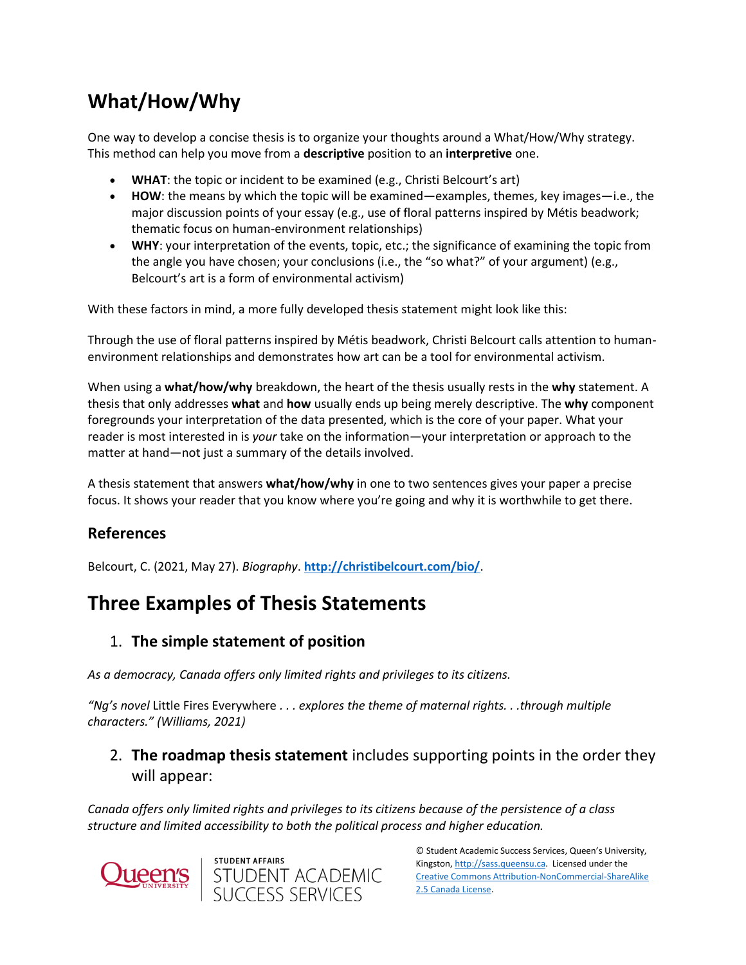## **What/How/Why**

One way to develop a concise thesis is to organize your thoughts around a What/How/Why strategy. This method can help you move from a **descriptive** position to an **interpretive** one.

- **WHAT**: the topic or incident to be examined (e.g., Christi Belcourt's art)
- **HOW**: the means by which the topic will be examined—examples, themes, key images—i.e., the major discussion points of your essay (e.g., use of floral patterns inspired by Métis beadwork; thematic focus on human-environment relationships)
- **WHY**: your interpretation of the events, topic, etc.; the significance of examining the topic from the angle you have chosen; your conclusions (i.e., the "so what?" of your argument) (e.g., Belcourt's art is a form of environmental activism)

With these factors in mind, a more fully developed thesis statement might look like this:

Through the use of floral patterns inspired by Métis beadwork, Christi Belcourt calls attention to humanenvironment relationships and demonstrates how art can be a tool for environmental activism.

When using a **what/how/why** breakdown, the heart of the thesis usually rests in the **why** statement. A thesis that only addresses **what** and **how** usually ends up being merely descriptive. The **why** component foregrounds your interpretation of the data presented, which is the core of your paper. What your reader is most interested in is *your* take on the information—your interpretation or approach to the matter at hand—not just a summary of the details involved.

A thesis statement that answers **what/how/why** in one to two sentences gives your paper a precise focus. It shows your reader that you know where you're going and why it is worthwhile to get there.

### **References**

Belcourt, C. (2021, May 27). *Biography*. **[http://christibelcourt.com/bio/](https://christibelcourt.com/bio/)**.

### **Three Examples of Thesis Statements**

#### 1. **The simple statement of position**

*As a democracy, Canada offers only limited rights and privileges to its citizens.*

*"Ng's novel* Little Fires Everywhere *. . . explores the theme of maternal rights. . .through multiple characters." (Williams, 2021)*

### 2. **The roadmap thesis statement** includes supporting points in the order they will appear:

*Canada offers only limited rights and privileges to its citizens because of the persistence of a class structure and limited accessibility to both the political process and higher education.*





© Student Academic Success Services, Queen's University, Kingston[, http://sass.queensu.ca.](http://sass.queensu.ca/) Licensed under the [Creative Commons Attribution-NonCommercial-ShareAlike](http://creativecommons.org/licenses/by-nc-sa/2.5/ca/)  [2.5 Canada License.](http://creativecommons.org/licenses/by-nc-sa/2.5/ca/)